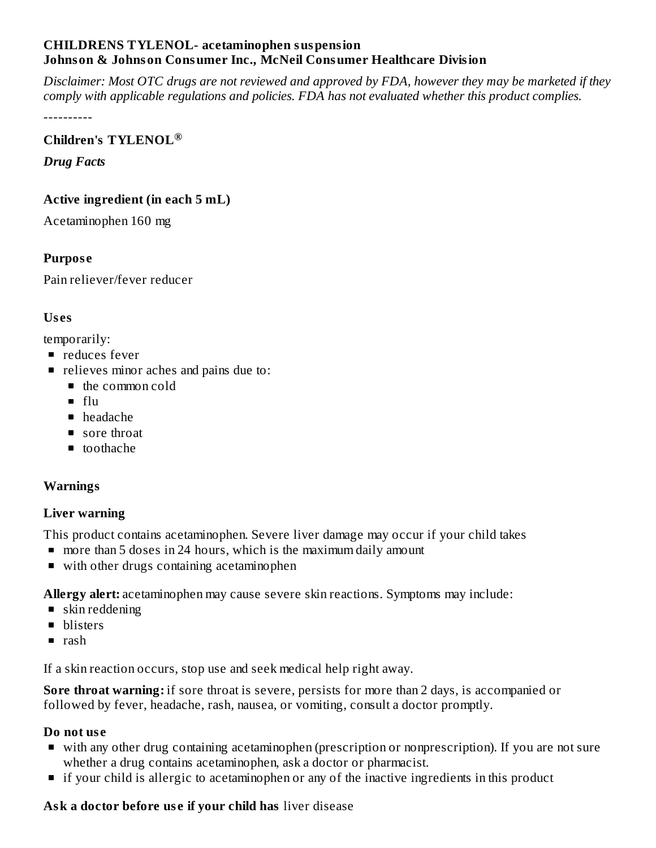### **CHILDRENS TYLENOL- acetaminophen suspension Johnson & Johnson Consumer Inc., McNeil Consumer Healthcare Division**

Disclaimer: Most OTC drugs are not reviewed and approved by FDA, however they may be marketed if they *comply with applicable regulations and policies. FDA has not evaluated whether this product complies.*

----------

# **Children's TYLENOL ®**

*Drug Facts*

## **Active ingredient (in each 5 mL)**

Acetaminophen 160 mg

## **Purpos e**

Pain reliever/fever reducer

## **Us es**

temporarily:

- **P** reduces fever
- relieves minor aches and pains due to:
	- the common cold
	- $f<sub>ln</sub>$
	- headache
	- sore throat
	- toothache

## **Warnings**

#### **Liver warning**

This product contains acetaminophen. Severe liver damage may occur if your child takes

- **more than 5 doses in 24 hours, which is the maximum daily amount**
- with other drugs containing acetaminophen

**Allergy alert:** acetaminophen may cause severe skin reactions. Symptoms may include:

- skin reddening
- **blisters**
- $\blacksquare$  rash

If a skin reaction occurs, stop use and seek medical help right away.

**Sore throat warning:** if sore throat is severe, persists for more than 2 days, is accompanied or followed by fever, headache, rash, nausea, or vomiting, consult a doctor promptly.

#### **Do not us e**

- with any other drug containing acetaminophen (prescription or nonprescription). If you are not sure whether a drug contains acetaminophen, ask a doctor or pharmacist.
- **If your child is allergic to acetaminophen or any of the inactive ingredients in this product**

# **Ask a doctor before us e if your child has** liver disease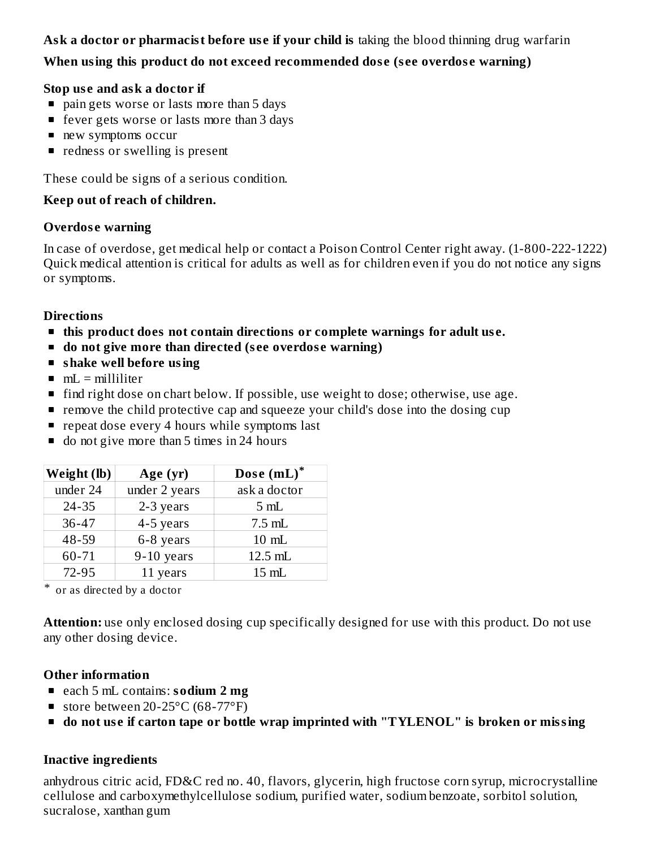# **Ask a doctor or pharmacist before us e if your child is** taking the blood thinning drug warfarin

# **When using this product do not exceed recommended dos e (s ee overdos e warning)**

### **Stop us e and ask a doctor if**

- **pain gets worse or lasts more than 5 days**
- fever gets worse or lasts more than 3 days
- new symptoms occur
- redness or swelling is present

These could be signs of a serious condition.

## **Keep out of reach of children.**

### **Overdos e warning**

In case of overdose, get medical help or contact a Poison Control Center right away. (1-800-222-1222) Quick medical attention is critical for adults as well as for children even if you do not notice any signs or symptoms.

## **Directions**

- **this product does not contain directions or complete warnings for adult us e.**
- **do not give more than directed (s ee overdos e warning)**
- **shake well before using**
- $mL =$  milliliter
- **find right dose on chart below. If possible, use weight to dose; otherwise, use age.**
- **•** remove the child protective cap and squeeze your child's dose into the dosing cup
- **P** repeat dose every 4 hours while symptoms last
- do not give more than 5 times in 24 hours

| Weight (lb) | Age (yr)      | Dose (mL)*       |
|-------------|---------------|------------------|
| under 24    | under 2 years | ask a doctor     |
| $24 - 35$   | 2-3 years     | 5mL              |
| $36 - 47$   | 4-5 years     | $7.5 \text{ mL}$ |
| 48-59       | 6-8 years     | $10 \text{ mL}$  |
| 60-71       | $9-10$ years  | 12.5 mL          |
| 72-95       | 11 years      | $15 \text{ mL}$  |

\* or as directed by a doctor

**Attention:** use only enclosed dosing cup specifically designed for use with this product. Do not use any other dosing device.

## **Other information**

- each 5 mL contains: **sodium 2 mg**
- store between  $20-25$ °C (68-77°F)
- **do not us e if carton tape or bottle wrap imprinted with "TYLENOL" is broken or missing**

## **Inactive ingredients**

anhydrous citric acid, FD&C red no. 40, flavors, glycerin, high fructose corn syrup, microcrystalline cellulose and carboxymethylcellulose sodium, purified water, sodium benzoate, sorbitol solution, sucralose, xanthan gum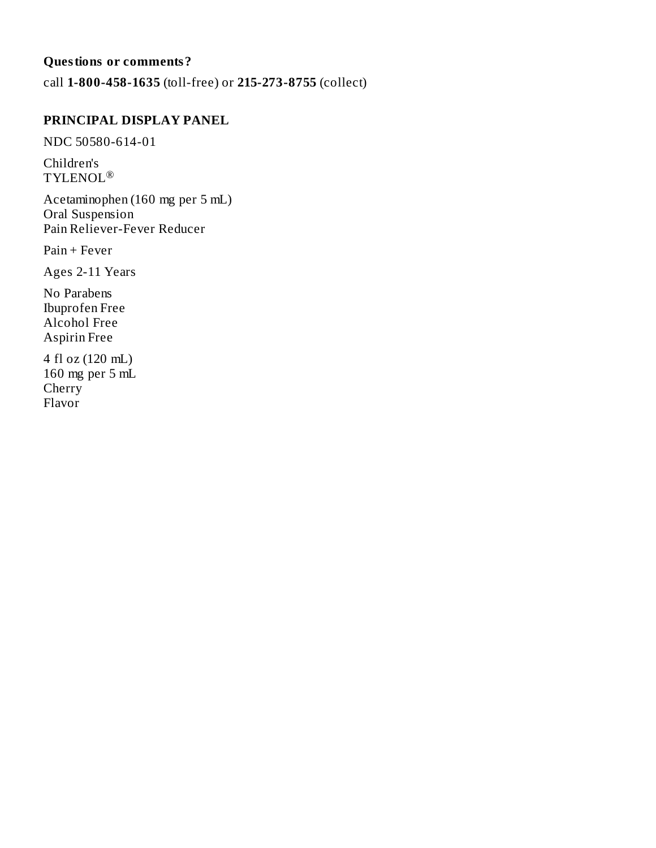# **Questions or comments?**

call **1-800-458-1635** (toll-free) or **215-273-8755** (collect)

### **PRINCIPAL DISPLAY PANEL**

NDC 50580-614-01

Children's  $\mathop{\mathrm{TYLENOL}}\nolimits^\circledR$ 

Acetaminophen (160 mg per 5 mL) Oral Suspension Pain Reliever-Fever Reducer

Pain + Fever

Ages 2-11 Years

No Parabens Ibuprofen Free Alcohol Free Aspirin Free

4 fl oz (120 mL) 160 mg per 5 mL Cherry Flavor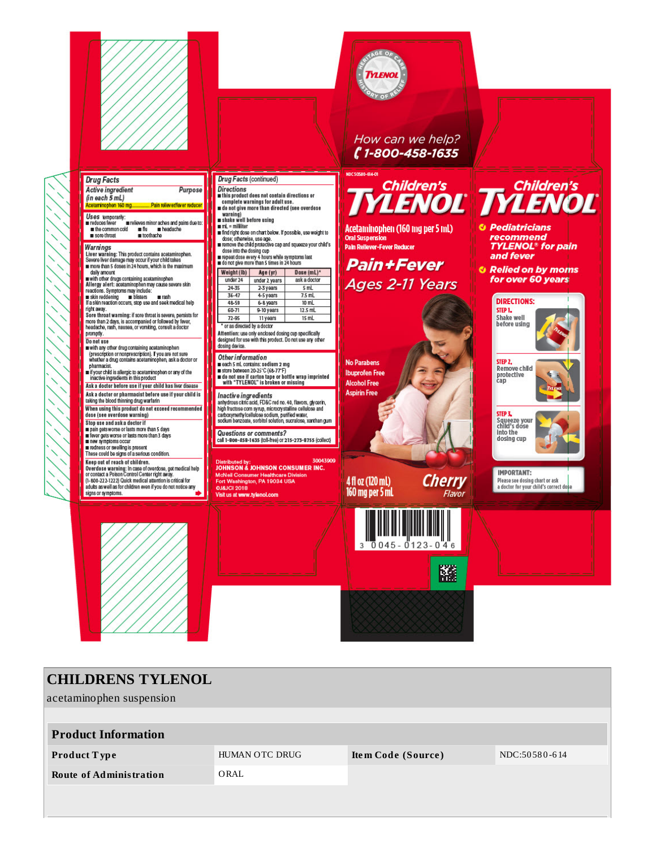

acetaminophen suspension

| <b>Product Information</b>     |                |                    |               |
|--------------------------------|----------------|--------------------|---------------|
| <b>Product Type</b>            | HUMAN OTC DRUG | Item Code (Source) | NDC:50580-614 |
| <b>Route of Administration</b> | ORAL           |                    |               |
|                                |                |                    |               |